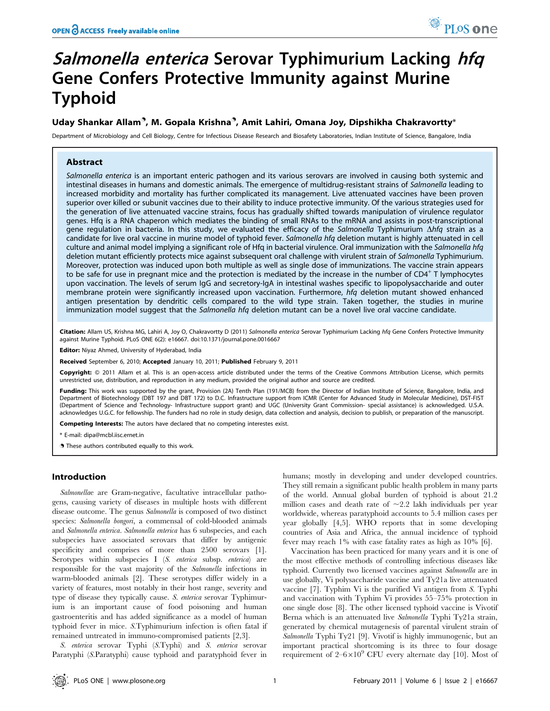# Salmonella enterica Serovar Typhimurium Lacking hfq Gene Confers Protective Immunity against Murine Typhoid

# Uday Shankar Allam<sup>®</sup>, M. Gopala Krishna®, Amit Lahiri, Omana Joy, Dipshikha Chakravortty\*

Department of Microbiology and Cell Biology, Centre for Infectious Disease Research and Biosafety Laboratories, Indian Institute of Science, Bangalore, India

## Abstract

Salmonella enterica is an important enteric pathogen and its various serovars are involved in causing both systemic and intestinal diseases in humans and domestic animals. The emergence of multidrug-resistant strains of Salmonella leading to increased morbidity and mortality has further complicated its management. Live attenuated vaccines have been proven superior over killed or subunit vaccines due to their ability to induce protective immunity. Of the various strategies used for the generation of live attenuated vaccine strains, focus has gradually shifted towards manipulation of virulence regulator genes. Hfq is a RNA chaperon which mediates the binding of small RNAs to the mRNA and assists in post-transcriptional gene regulation in bacteria. In this study, we evaluated the efficacy of the Salmonella Typhimurium  $\Delta h f q$  strain as a candidate for live oral vaccine in murine model of typhoid fever. Salmonella hfq deletion mutant is highly attenuated in cell culture and animal model implying a significant role of Hfq in bacterial virulence. Oral immunization with the Salmonella hfq deletion mutant efficiently protects mice against subsequent oral challenge with virulent strain of Salmonella Typhimurium. Moreover, protection was induced upon both multiple as well as single dose of immunizations. The vaccine strain appears to be safe for use in pregnant mice and the protection is mediated by the increase in the number of  $CD4^+$  T lymphocytes upon vaccination. The levels of serum IgG and secretory-IgA in intestinal washes specific to lipopolysaccharide and outer membrane protein were significantly increased upon vaccination. Furthermore, hfq deletion mutant showed enhanced antigen presentation by dendritic cells compared to the wild type strain. Taken together, the studies in murine immunization model suggest that the Salmonella hfa deletion mutant can be a novel live oral vaccine candidate.

Citation: Allam US, Krishna MG, Lahiri A, Joy O, Chakravortty D (2011) Salmonella enterica Serovar Typhimurium Lacking hfq Gene Confers Protective Immunity against Murine Typhoid. PLoS ONE 6(2): e16667. doi:10.1371/journal.pone.0016667

Editor: Niyaz Ahmed, University of Hyderabad, India

Received September 6, 2010; Accepted January 10, 2011; Published February 9, 2011

Copyright: © 2011 Allam et al. This is an open-access article distributed under the terms of the Creative Commons Attribution License, which permits unrestricted use, distribution, and reproduction in any medium, provided the original author and source are credited.

Funding: This work was supported by the grant, Provision (2A) Tenth Plan (191/MCB) from the Director of Indian Institute of Science, Bangalore, India, and Department of Biotechnology (DBT 197 and DBT 172) to D.C. Infrastructure support from ICMR (Center for Advanced Study in Molecular Medicine), DST-FIST (Department of Science and Technology- Infrastructure support grant) and UGC (University Grant Commission- special assistance) is acknowledged. U.S.A. acknowledges U.G.C. for fellowship. The funders had no role in study design, data collection and analysis, decision to publish, or preparation of the manuscript.

Competing Interests: The autors have declared that no competing interestes exist.

\* E-mail: dipa@mcbl.iisc.ernet.in

**.** These authors contributed equally to this work.

# Introduction

Salmonellae are Gram-negative, facultative intracellular pathogens, causing variety of diseases in multiple hosts with different disease outcome. The genus Salmonella is composed of two distinct species: Salmonella bongori, a commensal of cold-blooded animals and Salmonella enterica. Salmonella enterica has 6 subspecies, and each subspecies have associated serovars that differ by antigenic specificity and comprises of more than 2500 serovars [1]. Serotypes within subspecies I (S. enterica subsp. enterica) are responsible for the vast majority of the Salmonella infections in warm-blooded animals [2]. These serotypes differ widely in a variety of features, most notably in their host range, severity and type of disease they typically cause. S. enterica serovar Typhimurium is an important cause of food poisoning and human gastroenteritis and has added significance as a model of human typhoid fever in mice. S.Typhimurium infection is often fatal if remained untreated in immuno-compromised patients [2,3].

S. enterica serovar Typhi (S.Typhi) and S. enterica serovar Paratyphi (S.Paratyphi) cause typhoid and paratyphoid fever in humans; mostly in developing and under developed countries. They still remain a significant public health problem in many parts of the world. Annual global burden of typhoid is about 21.2 million cases and death rate of  $\sim$  2.2 lakh individuals per year worldwide, whereas paratyphoid accounts to 5.4 million cases per year globally [4,5]. WHO reports that in some developing countries of Asia and Africa, the annual incidence of typhoid fever may reach 1% with case fatality rates as high as 10% [6].

Vaccination has been practiced for many years and it is one of the most effective methods of controlling infectious diseases like typhoid. Currently two licensed vaccines against Salmonella are in use globally, Vi polysaccharide vaccine and Ty21a live attenuated vaccine [7]. Typhim Vi is the purified Vi antigen from S. Typhi and vaccination with Typhim Vi provides 55–75% protection in one single dose [8]. The other licensed typhoid vaccine is Vivotif Berna which is an attenuated live Salmonella Typhi Ty21a strain, generated by chemical mutagenesis of parental virulent strain of Salmonella Typhi Ty21 [9]. Vivotif is highly immunogenic, but an important practical shortcoming is its three to four dosage requirement of  $2-6\times10^9$  CFU every alternate day [10]. Most of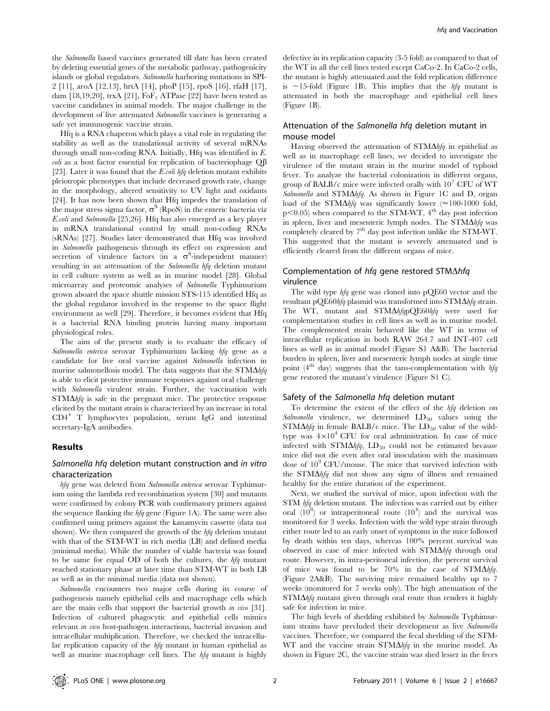the Salmonella based vaccines generated till date has been created by deleting essential genes of the metabolic pathway, pathogenicity islands or global regulators. Salmonella harboring mutations in SPI-2 [11], aroA [12,13], hrtA [14], phoP [15], rpoS [16], rfaH [17], dam [18,19,20], trxA [21],  $F \circ F_1$  ATPase [22] have been tested as vaccine candidates in animal models. The major challenge in the development of live attenuated Salmonella vaccines is generating a safe yet immunogenic vaccine strain.

Hfq is a RNA chaperon which plays a vital role in regulating the stability as well as the translational activity of several mRNAs through small non-coding RNA. Initially, Hfq was identified in E. *coli* as a host factor essential for replication of bacteriophage  $Q\beta$ [23]. Later it was found that the *E.coli hfq* deletion mutant exhibits pleiotropic phenotypes that include decreased growth rate, change in the morphology, altered sensitivity to UV light and oxidants [24]. It has now been shown that Hfq impedes the translation of the major stress sigma factor,  $\sigma^S$  (RpoS) in the enteric bacteria viz E.coli and Salmonella [25,26]. Hfq has also emerged as a key player in mRNA translational control by small non-coding RNAs (sRNAs) [27]. Studies later demonstrated that Hfq was involved in Salmonella pathogenesis through its effect on expression and secretion of virulence factors (in a  $\sigma$ <sup>S</sup>-independent manner) resulting in an attenuation of the Salmonella hfq deletion mutant in cell culture system as well as in murine model [28]. Global microarray and proteomic analyses of Salmonella Typhimurium grown aboard the space shuttle mission STS-115 identified Hfq as the global regulator involved in the response to the space flight environment as well [29]. Therefore, it becomes evident that Hfq is a bacterial RNA binding protein having many important physiological roles.

The aim of the present study is to evaluate the efficacy of Salmonella enterica serovar Typhimurium lacking hfq gene as a candidate for live oral vaccine against Salmonella infection in murine salmonellosis model. The data suggests that the  $STM\Delta hfg$ is able to elicit protective immune responses against oral challenge with Salmonella virulent strain. Further, the vaccination with  $STM\Delta h f q$  is safe in the pregnant mice. The protective response elicited by the mutant strain is characterized by an increase in total CD4<sup>+</sup> T lymphocytes population, serum IgG and intestinal secretary-IgA antibodies.

#### Results

## Salmonella hfq deletion mutant construction and in vitro characterization

hfq gene was deleted from Salmonella enterica serovar Typhimurium using the lambda red recombination system [30] and mutants were confirmed by colony PCR with confirmatory primers against the sequence flanking the  $hfg$  gene (Figure 1A). The same were also confirmed using primers against the kanamycin cassette (data not shown). We then compared the growth of the  $hfq$  deletion mutant with that of the STM-WT in rich media (LB) and defined media (minimal media). While the number of viable bacteria was found to be same for equal OD of both the cultures, the  $h\bar{f}q$  mutant reached stationary phase at later time than STM-WT in both LB as well as in the minimal media (data not shown).

Salmonella encounters two major cells during its course of pathogenesis namely epithelial cells and macrophage cells which are the main cells that support the bacterial growth in vivo [31]. Infection of cultured phagocytic and epithelial cells mimics relevant in vivo host-pathogen interactions, bacterial invasion and intracellular multiplication. Therefore, we checked the intracellular replication capacity of the hfq mutant in human epithelial as well as murine macrophage cell lines. The hfq mutant is highly

defective in its replication capacity (3-5 fold) as compared to that of the WT in all the cell lines tested except CaCo-2. In CaCo-2 cells, the mutant is highly attenuated and the fold replication difference is  $\sim$ 15-fold (Figure 1B). This implies that the hfq mutant is attenuated in both the macrophage and epithelial cell lines (Figure 1B).

# Attenuation of the Salmonella hfq deletion mutant in mouse model

Having observed the attenuation of  $STM\Delta hfa$  in epithelial as well as in macrophage cell lines, we decided to investigate the virulence of the mutant strain in the murine model of typhoid fever. To analyze the bacterial colonization in different organs, group of BALB/c mice were infected orally with  $10^7$  CFU of WT Salmonella and STM $\Delta h f q$ . As shown in Figure 1C and D, organ load of the STM $\Delta h f q$  was significantly lower ( $\approx$ 100-1000 fold,  $p$ <0.05) when compared to the STM-WT,  $4<sup>th</sup>$  day post infection in spleen, liver and mesenteric lymph nodes. The  $STM\Delta hfa$  was completely cleared by  $7<sup>th</sup>$  day post infection unlike the STM-WT. This suggested that the mutant is severely attenuated and is efficiently cleared from the different organs of mice.

## Complementation of hfq gene restored STM $\Delta$ hfq virulence

The wild type hfq gene was cloned into pQE60 vector and the resultant pQE60hfq plasmid was transformed into STM $\Delta$ hfq strain. The WT, mutant and STM $\Delta h f q p Q E 60 h f q$  were used for complementation studies in cell lines as well as in murine model. The complemented strain behaved like the WT in terms of intracellular replication in both RAW 264.7 and INT-407 cell lines as well as in animal model (Figure S1 A&B). The bacterial burden in spleen, liver and mesenteric lymph nodes at single time point ( $4<sup>th</sup>$  day) suggests that the tans-complementation with  $hfq$ gene restored the mutant's virulence (Figure S1 C).

#### Safety of the Salmonella hfq deletion mutant

To determine the extent of the effect of the hfq deletion on Salmonella virulence, we determined  $LD_{50}$  values using the  $STM\Delta h f q$  in female BALB/c mice. The LD<sub>50</sub> value of the wildtype was  $4\times10^4$  CFU for oral administration. In case of mice infected with STM $\Delta h f q$ , LD<sub>50</sub> could not be estimated because mice did not die even after oral inoculation with the maximum dose of 109 CFU/mouse. The mice that survived infection with the STM $\Delta h f q$  did not show any signs of illness and remained healthy for the entire duration of the experiment.

Next, we studied the survival of mice, upon infection with the STM hfq deletion mutant. The infection was carried out by either oral  $(10^8)$  or intraperitoneal route  $(10^4)$  and the survival was monitored for 3 weeks. Infection with the wild type strain through either route led to an early onset of symptoms in the mice followed by death within ten days, whereas 100% percent survival was observed in case of mice infected with  $STM\Delta hfa$  through oral route. However, in intra-peritoneal infection, the percent survival of mice was found to be 70% in the case of  $STM\Delta hfq$ . (Figure 2A&B). The surviving mice remained healthy up to 7 weeks (monitored for 7 weeks only). The high attenuation of the  $STM\Delta h f q$  mutant given through oral route thus renders it highly safe for infection in mice.

The high levels of shedding exhibited by Salmonella Typhimurium strains have precluded their development as live Salmonella vaccines. Therefore, we compared the fecal shedding of the STM-WT and the vaccine strain  $STM\Delta hfq$  in the murine model. As shown in Figure 2C, the vaccine strain was shed lesser in the feces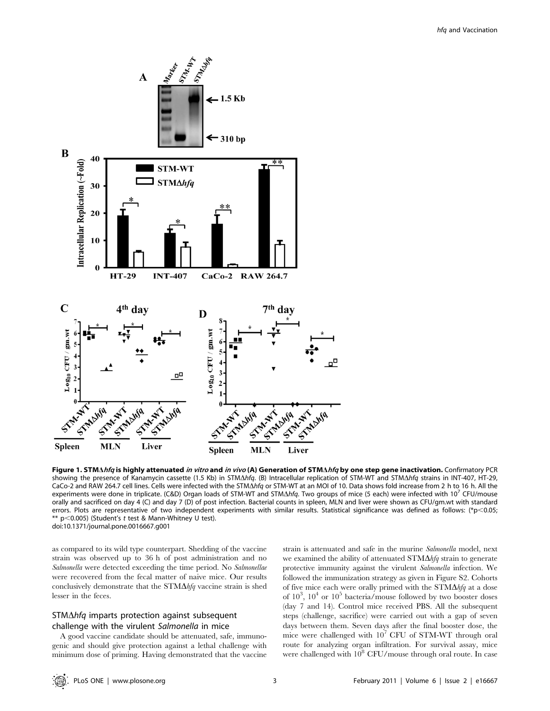

Figure 1. STMAhfq is highly attenuated in vitro and in vivo (A) Generation of STMAhfq by one step gene inactivation. Confirmatory PCR showing the presence of Kanamycin cassette (1.5 Kb) in STM $\Delta h f q$ . (B) Intracellular replication of STM-WT and STM $\Delta h f q$  strains in INT-407, HT-29, CaCo-2 and RAW 264.7 cell lines. Cells were infected with the STM $\Delta$ hfq or STM-WT at an MOI of 10. Data shows fold increase from 2 h to 16 h. All the experiments were done in triplicate. (C&D) Organ loads of STM-WT and STM $\Delta h f q$ . Two groups of mice (5 each) were infected with 10<sup>7</sup> CFU/mouse orally and sacrificed on day 4 (C) and day 7 (D) of post infection. Bacterial counts in spleen, MLN and liver were shown as CFU/gm.wt with standard errors. Plots are representative of two independent experiments with similar results. Statistical significance was defined as follows: (\*p<0.05; \*\*  $p$ <0.005) (Student's t test & Mann-Whitney U test). doi:10.1371/journal.pone.0016667.g001

as compared to its wild type counterpart. Shedding of the vaccine strain was observed up to 36 h of post administration and no Salmonella were detected exceeding the time period. No Salmonellae were recovered from the fecal matter of naive mice. Our results conclusively demonstrate that the  $STM\Delta hfq$  vaccine strain is shed lesser in the feces.

# $STM\Delta hfg$  imparts protection against subsequent challenge with the virulent Salmonella in mice

A good vaccine candidate should be attenuated, safe, immunogenic and should give protection against a lethal challenge with minimum dose of priming. Having demonstrated that the vaccine

strain is attenuated and safe in the murine Salmonella model, next we examined the ability of attenuated  $STM\Delta hfg$  strain to generate protective immunity against the virulent Salmonella infection. We followed the immunization strategy as given in Figure S2. Cohorts of five mice each were orally primed with the  $STM\Delta hfq$  at a dose of  $10^3$ ,  $10^4$  or  $10^5$  bacteria/mouse followed by two booster doses (day 7 and 14). Control mice received PBS. All the subsequent steps (challenge, sacrifice) were carried out with a gap of seven days between them. Seven days after the final booster dose, the mice were challenged with  $10^7$  CFU of STM-WT through oral route for analyzing organ infiltration. For survival assay, mice were challenged with  $10^8$  CFU/mouse through oral route. In case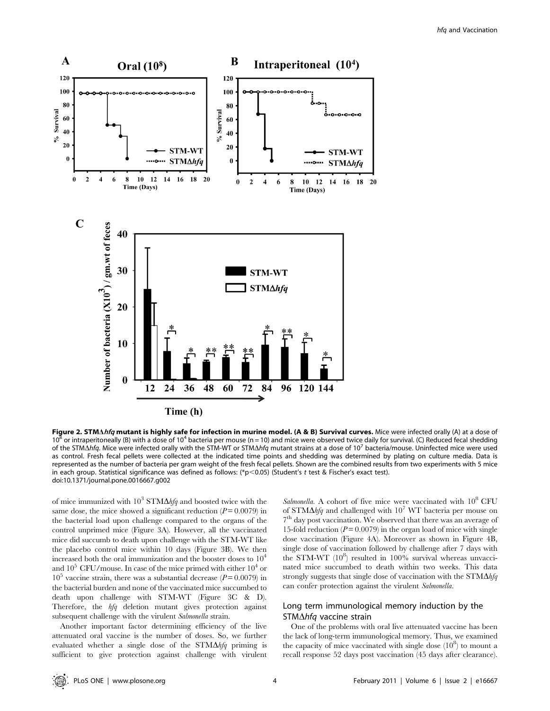

Figure 2. STMAhfq mutant is highly safe for infection in murine model. (A & B) Survival curves. Mice were infected orally (A) at a dose of 10<sup>8</sup> or intraperitoneally (B) with a dose of 10<sup>4</sup> bacteria per mouse (n = 10) and mice were observed twice daily for survival. (C) Reduced fecal shedding of the STM $\Delta h f q$ . Mice were infected orally with the STM-WT or STM $\Delta h f q$  mutant strains at a dose of 10<sup>7</sup> bacteria/mouse. Uninfected mice were used as control. Fresh fecal pellets were collected at the indicated time points and shedding was determined by plating on culture media. Data is represented as the number of bacteria per gram weight of the fresh fecal pellets. Shown are the combined results from two experiments with 5 mice in each group. Statistical significance was defined as follows: (\*p<0.05) (Student's t test & Fischer's exact test). doi:10.1371/journal.pone.0016667.g002

of mice immunized with  $10^3$  STM $\Delta h f q$  and boosted twice with the same dose, the mice showed a significant reduction  $(P = 0.0079)$  in the bacterial load upon challenge compared to the organs of the control unprimed mice (Figure 3A). However, all the vaccinated mice did succumb to death upon challenge with the STM-WT like the placebo control mice within 10 days (Figure 3B). We then increased both the oral immunization and the booster doses to  $10<sup>4</sup>$ and  $10^5$  CFU/mouse. In case of the mice primed with either  $10^4$  or  $10^5$  vaccine strain, there was a substantial decrease ( $P = 0.0079$ ) in the bacterial burden and none of the vaccinated mice succumbed to death upon challenge with STM-WT (Figure 3C & D). Therefore, the hfq deletion mutant gives protection against subsequent challenge with the virulent Salmonella strain.

Another important factor determining efficiency of the live attenuated oral vaccine is the number of doses. So, we further evaluated whether a single dose of the  $STM\Delta hfg$  priming is sufficient to give protection against challenge with virulent

Salmonella. A cohort of five mice were vaccinated with  $10^8$  CFU of STM $\Delta h f q$  and challenged with 10<sup>7</sup> WT bacteria per mouse on 7<sup>th</sup> day post vaccination. We observed that there was an average of 15-fold reduction ( $P = 0.0079$ ) in the organ load of mice with single dose vaccination (Figure 4A). Moreover as shown in Figure 4B, single dose of vaccination followed by challenge after 7 days with the STM-WT  $(10^8)$  resulted in 100% survival whereas unvaccinated mice succumbed to death within two weeks. This data strongly suggests that single dose of vaccination with the  $STM\Delta hfa$ can confer protection against the virulent Salmonella.

# Long term immunological memory induction by the STM $\Delta$ hfq vaccine strain

One of the problems with oral live attenuated vaccine has been the lack of long-term immunological memory. Thus, we examined the capacity of mice vaccinated with single dose  $(10^8)$  to mount a recall response 52 days post vaccination (45 days after clearance).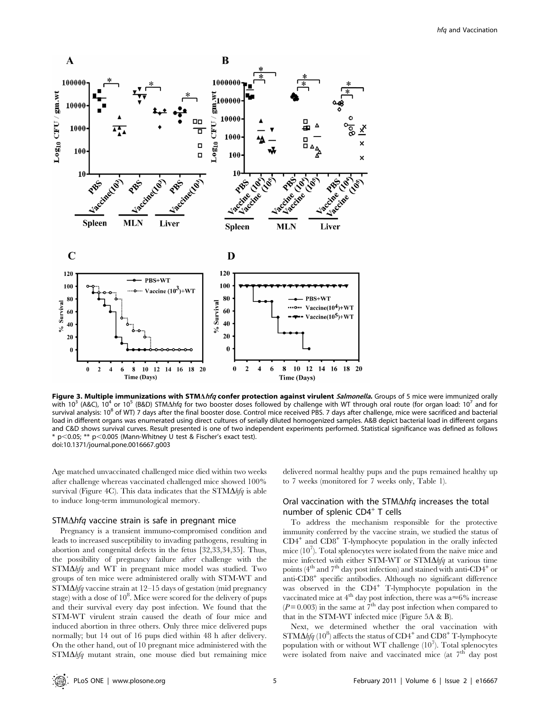

Figure 3. Multiple immunizations with STMAhfq confer protection against virulent Salmonella. Groups of 5 mice were immunized orally with 10<sup>3</sup> (A&C), 10<sup>4</sup> or 10<sup>5</sup> (B&D) STM $\Delta$ *hfq* for two booster doses followed by challenge with WT through oral route (for organ load: 10<sup>7</sup> and for survival analysis: 10<sup>8</sup> of WT) 7 days after the final booster dose. Control mice received PBS. 7 days after challenge, mice were sacrificed and bacterial load in different organs was enumerated using direct cultures of serially diluted homogenized samples. A&B depict bacterial load in different organs and C&D shows survival curves. Result presented is one of two independent experiments performed. Statistical significance was defined as follows  $*$  p $<$ 0.05;  $**$  p $<$ 0.005 (Mann-Whitney U test & Fischer's exact test). doi:10.1371/journal.pone.0016667.g003

Age matched unvaccinated challenged mice died within two weeks after challenge whereas vaccinated challenged mice showed 100% survival (Figure 4C). This data indicates that the  $STM\Delta hfa$  is able to induce long-term immunological memory.

#### $STM\Delta h$  vaccine strain is safe in pregnant mice

Pregnancy is a transient immuno-compromised condition and leads to increased susceptibility to invading pathogens, resulting in abortion and congenital defects in the fetus [32,33,34,35]. Thus, the possibility of pregnancy failure after challenge with the  $STM\Delta hfa$  and WT in pregnant mice model was studied. Two groups of ten mice were administered orally with STM-WT and STM $\Delta h f q$  vaccine strain at 12–15 days of gestation (mid pregnancy stage) with a dose of  $10^8$ . Mice were scored for the delivery of pups and their survival every day post infection. We found that the STM-WT virulent strain caused the death of four mice and induced abortion in three others. Only three mice delivered pups normally; but 14 out of 16 pups died within 48 h after delivery. On the other hand, out of 10 pregnant mice administered with the  $STM\Delta h f q$  mutant strain, one mouse died but remaining mice

delivered normal healthy pups and the pups remained healthy up to 7 weeks (monitored for 7 weeks only, Table 1).

# Oral vaccination with the STM $\Delta$ hfq increases the total number of splenic  $CD4^+$  T cells

To address the mechanism responsible for the protective immunity conferred by the vaccine strain, we studied the status of  $CD4^+$  and  $CD8^+$  T-lymphocyte population in the orally infected mice (107 ). Total splenocytes were isolated from the naive mice and mice infected with either STM-WT or STM $\Delta h f q$  at various time points ( $4<sup>th</sup>$  and  $7<sup>th</sup>$  day post infection) and stained with anti-CD4<sup>+</sup> or anti-CD8<sup>+</sup> specific antibodies. Although no significant difference was observed in the CD4<sup>+</sup> T-lymphocyte population in the vaccinated mice at  $4^{\text{th}}$  day post infection, there was a $\approx$ 6% increase  $(P= 0.003)$  in the same at  $7<sup>th</sup>$  day post infection when compared to that in the STM-WT infected mice (Figure 5A & B).

Next, we determined whether the oral vaccination with  $STM\Delta h fq~(10^8)$  affects the status of  $CD4^+$  and  $CD8^+$  T-lymphocyte population with or without WT challenge  $(10^7)$ . Total splenocytes were isolated from naive and vaccinated mice (at  $7<sup>th</sup>$  day post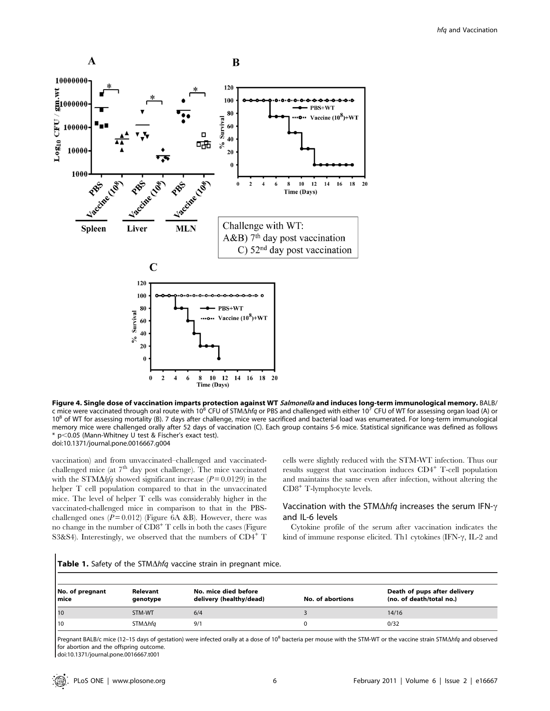

**Figure 4. Single dose of vaccination imparts protection against WT** *Salmonella* **and induces long-term immunological memory. BALB/<br>c mice were vaccinated through oral route with 10<sup>8</sup> CFU of STM∆***hfq* **or PBS and challenge** 10<sup>8</sup> of WT for assessing mortality (B). 7 days after challenge, mice were sacrificed and bacterial load was enumerated. For long-term immunological memory mice were challenged orally after 52 days of vaccination (C). Each group contains 5-6 mice. Statistical significance was defined as follows \* p,0.05 (Mann-Whitney U test & Fischer's exact test). doi:10.1371/journal.pone.0016667.g004

vaccination) and from unvaccinated–challenged and vaccinatedchallenged mice (at  $7<sup>th</sup>$  day post challenge). The mice vaccinated with the STM $\Delta h f q$  showed significant increase ( $P = 0.0129$ ) in the helper T cell population compared to that in the unvaccinated mice. The level of helper T cells was considerably higher in the vaccinated-challenged mice in comparison to that in the PBSchallenged ones  $(P = 0.012)$  (Figure 6A &B). However, there was no change in the number of  $CD8<sup>+</sup>$  T cells in both the cases (Figure S3&S4). Interestingly, we observed that the numbers of  $CD4^+$  T cells were slightly reduced with the STM-WT infection. Thus our results suggest that vaccination induces CD4<sup>+</sup> T-cell population and maintains the same even after infection, without altering the CD8<sup>+</sup> T-lymphocyte levels.

# Vaccination with the STM $\Delta h f q$  increases the serum IFN- $\gamma$ and IL-6 levels

Cytokine profile of the serum after vaccination indicates the kind of immune response elicited. Th1 cytokines (IFN- $\gamma$ , IL-2 and

|  |  |  |  |  |  |  | <b>Table 1.</b> Safety of the STM∆hfq vaccine strain in pregnant mice. |  |
|--|--|--|--|--|--|--|------------------------------------------------------------------------|--|
|--|--|--|--|--|--|--|------------------------------------------------------------------------|--|

| No. of pregnant<br>l mice | Relevant<br>genotype | No. mice died before<br>delivery (healthy/dead) | No. of abortions | Death of pups after delivery<br>(no. of death/total no.) |
|---------------------------|----------------------|-------------------------------------------------|------------------|----------------------------------------------------------|
| l 10                      | STM-WT               | 6/4                                             |                  | 14/16                                                    |
| l 10                      | STM∆hfa              | 9/1                                             |                  | 0/32                                                     |

Pregnant BALB/c mice (12-15 days of gestation) were infected orally at a dose of 10<sup>8</sup> bacteria per mouse with the STM-WT or the vaccine strain STM $\Delta h$ fq and observed for abortion and the offspring outcome.

doi:10.1371/journal.pone.0016667.t001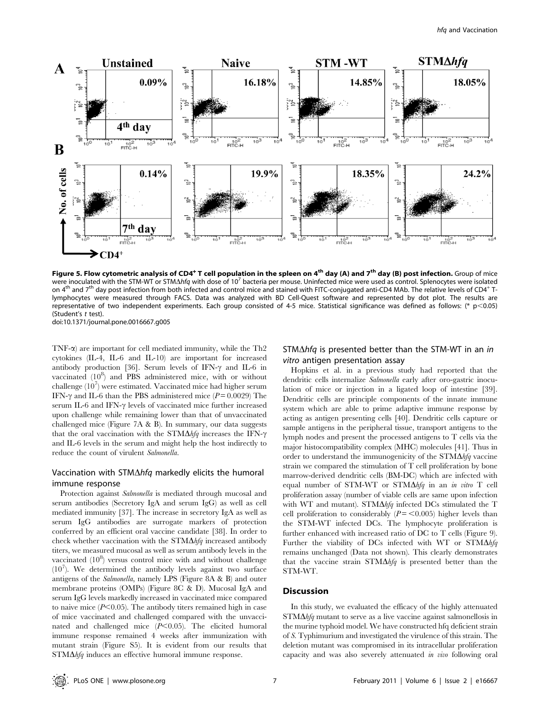

Figure 5. Flow cytometric analysis of CD4<sup>+</sup> T cell population in the spleen on 4<sup>th</sup> day (A) and 7<sup>th</sup> day (B) post infection. Group of mice were inoculated with the STM-WT or STM $\Delta h$ fq with dose of 10<sup>7</sup> bacteria per mouse. Uninfected mice were used as control. Splenocytes were isolated on 4<sup>th</sup> and 7<sup>th</sup> day post infection from both infected and control mice and stained with FITC-conjugated anti-CD4 MAb. The relative levels of CD4<sup>+</sup> Tlymphocytes were measured through FACS. Data was analyzed with BD Cell-Quest software and represented by dot plot. The results are representative of two independent experiments. Each group consisted of 4-5 mice. Statistical significance was defined as follows: (\* p<0.05) (Student's t test).

doi:10.1371/journal.pone.0016667.g005

TNF-a) are important for cell mediated immunity, while the Th2 cytokines (IL-4, IL-6 and IL-10) are important for increased antibody production [36]. Serum levels of IFN- $\gamma$  and IL-6 in vaccinated  $(10^8)$  and PBS administered mice, with or without challenge  $(10^7)$  were estimated. Vaccinated mice had higher serum IFN- $\gamma$  and IL-6 than the PBS administered mice ( $P = 0.0029$ ) The serum IL-6 and IFN- $\gamma$  levels of vaccinated mice further increased upon challenge while remaining lower than that of unvaccinated challenged mice (Figure 7A & B). In summary, our data suggests that the oral vaccination with the  $STM\Delta hfa$  increases the IFN- $\gamma$ and IL-6 levels in the serum and might help the host indirectly to reduce the count of virulent Salmonella.

# Vaccination with STM $\Delta$ *hfq* markedly elicits the humoral immune response

Protection against *Salmonella* is mediated through mucosal and serum antibodies (Secretory IgA and serum IgG) as well as cell mediated immunity [37]. The increase in secretory IgA as well as serum IgG antibodies are surrogate markers of protection conferred by an efficient oral vaccine candidate [38]. In order to check whether vaccination with the  $STM\Delta hfg$  increased antibody titers, we measured mucosal as well as serum antibody levels in the vaccinated  $(10^8)$  versus control mice with and without challenge  $(10<sup>7</sup>)$ . We determined the antibody levels against two surface antigens of the Salmonella, namely LPS (Figure 8A & B) and outer membrane proteins (OMPs) (Figure 8C & D). Mucosal IgA and serum IgG levels markedly increased in vaccinated mice compared to naive mice  $(P<0.05)$ . The antibody titers remained high in case of mice vaccinated and challenged compared with the unvaccinated and challenged mice  $(P<0.05)$ . The elicited humoral immune response remained 4 weeks after immunization with mutant strain (Figure S5). It is evident from our results that  $STM\Delta h f q$  induces an effective humoral immune response.

## STM $\Delta$ hfq is presented better than the STM-WT in an in vitro antigen presentation assay

Hopkins et al. in a previous study had reported that the dendritic cells internalize Salmonella early after oro-gastric inoculation of mice or injection in a ligated loop of intestine [39]. Dendritic cells are principle components of the innate immune system which are able to prime adaptive immune response by acting as antigen presenting cells [40]. Dendritic cells capture or sample antigens in the peripheral tissue, transport antigens to the lymph nodes and present the processed antigens to T cells via the major histocompatibility complex (MHC) molecules [41]. Thus in order to understand the immunogenicity of the  $STM\Delta h f q$  vaccine strain we compared the stimulation of T cell proliferation by bone marrow-derived dendritic cells (BM-DC) which are infected with equal number of STM-WT or STM $\Delta h f q$  in an in vitro T cell proliferation assay (number of viable cells are same upon infection with WT and mutant). STM $\Delta h f q$  infected DCs stimulated the T cell proliferation to considerably  $(P = \langle 0.005 \rangle)$  higher levels than the STM-WT infected DCs. The lymphocyte proliferation is further enhanced with increased ratio of DC to T cells (Figure 9). Further the viability of DCs infected with WT or  $STM\Delta hfa$ remains unchanged (Data not shown). This clearly demonstrates that the vaccine strain  $STM\Delta hfq$  is presented better than the STM-WT.

## **Discussion**

In this study, we evaluated the efficacy of the highly attenuated  $STM\Delta h f q$  mutant to serve as a live vaccine against salmonellosis in the murine typhoid model. We have constructed hfq deficient strain of S. Typhimurium and investigated the virulence of this strain. The deletion mutant was compromised in its intracellular proliferation capacity and was also severely attenuated in vivo following oral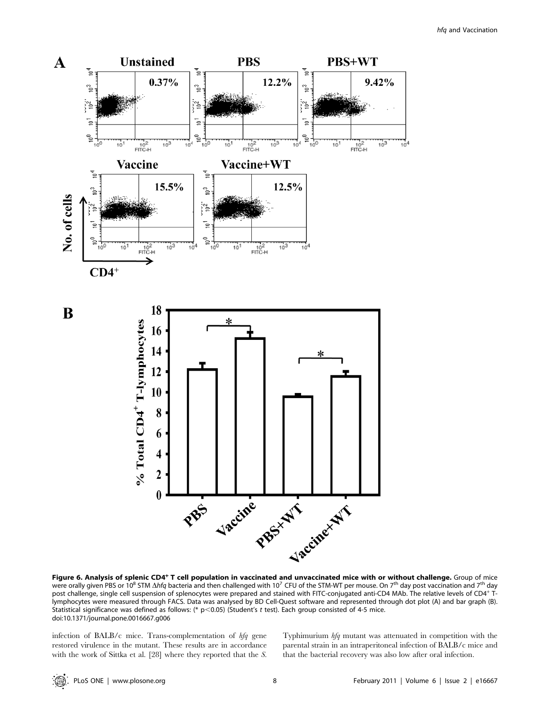

Figure 6. Analysis of splenic CD4<sup>+</sup> T cell population in vaccinated and unvaccinated mice with or without challenge. Group of mice were orally given PBS or 10<sup>8</sup> STM  $\Delta h f q$  bacteria and then challenged with 10<sup>7</sup> CFU of the STM-WT per mouse. On 7<sup>th</sup> day post vaccination and 7<sup>th</sup> day post challenge, single cell suspension of splenocytes were prepared and stained with FITC-conjugated anti-CD4 MAb. The relative levels of CD4<sup>+</sup> Tlymphocytes were measured through FACS. Data was analysed by BD Cell-Quest software and represented through dot plot (A) and bar graph (B). Statistical significance was defined as follows: (\*  $p<$ 0.05) (Student's t test). Each group consisted of 4-5 mice. doi:10.1371/journal.pone.0016667.g006

infection of BALB/c mice. Trans-complementation of hfq gene restored virulence in the mutant. These results are in accordance with the work of Sittka et al. [28] where they reported that the S. Typhimurium hfq mutant was attenuated in competition with the parental strain in an intraperitoneal infection of BALB/c mice and that the bacterial recovery was also low after oral infection.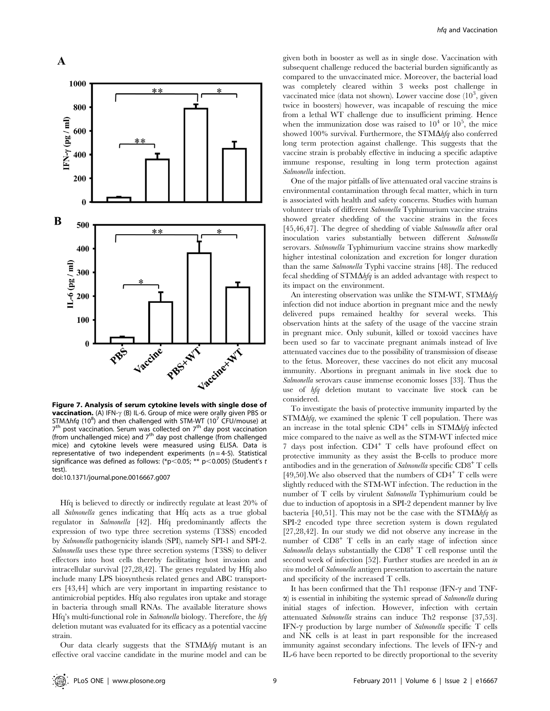

Figure 7. Analysis of serum cytokine levels with single dose of **vaccination.** (A) IFN- $\gamma$  (B) IL-6. Group of mice were orally given PBS or STM $\Delta$ hfq (10<sup>8</sup>) and then challenged with STM-WT (10<sup>7</sup> CFU/mouse) at  $7<sup>th</sup>$  post vaccination. Serum was collected on  $7<sup>th</sup>$  day post vaccination (from unchallenged mice) and  $7<sup>th</sup>$  day post challenge (from challenged mice) and cytokine levels were measured using ELISA. Data is representative of two independent experiments  $(n = 4-5)$ . Statistical significance was defined as follows: (\*p<0.05; \*\* p<0.005) (Student's t test).

doi:10.1371/journal.pone.0016667.g007

Hfq is believed to directly or indirectly regulate at least 20% of all Salmonella genes indicating that Hfq acts as a true global regulator in Salmonella [42]. Hfq predominantly affects the expression of two type three secretion systems (T3SS) encoded by Salmonella pathogenicity islands (SPI), namely SPI-1 and SPI-2. Salmonella uses these type three secretion systems (T3SS) to deliver effectors into host cells thereby facilitating host invasion and intracellular survival [27,28,42]. The genes regulated by Hfq also include many LPS biosynthesis related genes and ABC transporters [43,44] which are very important in imparting resistance to antimicrobial peptides. Hfq also regulates iron uptake and storage in bacteria through small RNAs. The available literature shows Hfq's multi-functional role in Salmonella biology. Therefore, the hfq deletion mutant was evaluated for its efficacy as a potential vaccine strain.

Our data clearly suggests that the  $STM\Delta hfq$  mutant is an effective oral vaccine candidate in the murine model and can be

given both in booster as well as in single dose. Vaccination with subsequent challenge reduced the bacterial burden significantly as compared to the unvaccinated mice. Moreover, the bacterial load was completely cleared within 3 weeks post challenge in vaccinated mice (data not shown). Lower vaccine dose  $(10^3)$  given twice in boosters) however, was incapable of rescuing the mice from a lethal WT challenge due to insufficient priming. Hence when the immunization dose was raised to  $10^4$  or  $10^5$ , the mice showed 100% survival. Furthermore, the  $STM\Delta h f q$  also conferred long term protection against challenge. This suggests that the vaccine strain is probably effective in inducing a specific adaptive immune response, resulting in long term protection against Salmonella infection.

One of the major pitfalls of live attenuated oral vaccine strains is environmental contamination through fecal matter, which in turn is associated with health and safety concerns. Studies with human volunteer trials of different Salmonella Typhimurium vaccine strains showed greater shedding of the vaccine strains in the feces [45,46,47]. The degree of shedding of viable Salmonella after oral inoculation varies substantially between different Salmonella serovars. Salmonella Typhimurium vaccine strains show markedly higher intestinal colonization and excretion for longer duration than the same Salmonella Typhi vaccine strains [48]. The reduced fecal shedding of  $STM\Delta h f q$  is an added advantage with respect to its impact on the environment.

An interesting observation was unlike the STM-WT, STM $\Delta h f q$ infection did not induce abortion in pregnant mice and the newly delivered pups remained healthy for several weeks. This observation hints at the safety of the usage of the vaccine strain in pregnant mice. Only subunit, killed or toxoid vaccines have been used so far to vaccinate pregnant animals instead of live attenuated vaccines due to the possibility of transmission of disease to the fetus. Moreover, these vaccines do not elicit any mucosal immunity. Abortions in pregnant animals in live stock due to Salmonella serovars cause immense economic losses [33]. Thus the use of hfq deletion mutant to vaccinate live stock can be considered.

To investigate the basis of protective immunity imparted by the  $STM\Delta hfa$ , we examined the splenic T cell population. There was an increase in the total splenic  $CD4^+$  cells in  $STM\Delta hfq$  infected mice compared to the naive as well as the STM-WT infected mice 7 days post infection. CD4<sup>+</sup> T cells have profound effect on protective immunity as they assist the B-cells to produce more antibodies and in the generation of Salmonella specific CD8<sup>+</sup> T cells [49,50]. We also observed that the numbers of  $CD4^+$  T cells were slightly reduced with the STM-WT infection. The reduction in the number of T cells by virulent Salmonella Typhimurium could be due to induction of apoptosis in a SPI-2 dependent manner by live bacteria [40,51]. This may not be the case with the  $STM\Delta h f q$  as SPI-2 encoded type three secretion system is down regulated [27,28,42]. In our study we did not observe any increase in the number of  $CD8<sup>+</sup>$  T cells in an early stage of infection since Salmonella delays substantially the  $CD8<sup>+</sup>$  T cell response until the second week of infection [52]. Further studies are needed in an in vivo model of Salmonella antigen presentation to ascertain the nature and specificity of the increased T cells.

It has been confirmed that the Th1 response (IFN- $\gamma$  and TNF- $\alpha$ ) is essential in inhibiting the systemic spread of Salmonella during initial stages of infection. However, infection with certain attenuated Salmonella strains can induce Th2 response [37,53]. IFN- $\gamma$  production by large number of Salmonella specific T cells and NK cells is at least in part responsible for the increased immunity against secondary infections. The levels of IFN- $\gamma$  and IL-6 have been reported to be directly proportional to the severity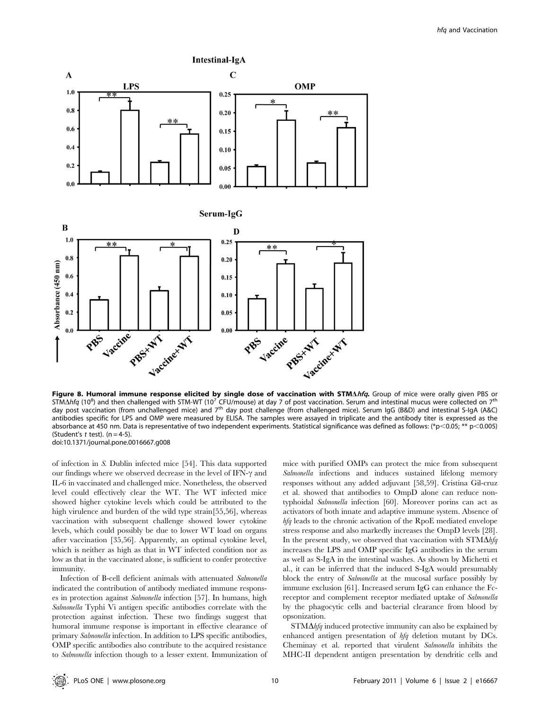

STM $\Delta$ hfq (10<sup>8</sup>) and then challenged with STM-WT (10<sup>7</sup> CFU/mouse) at day 7 of post vaccination. Serum and intestinal mucus were collected on 7<sup>th</sup> day post vaccination (from unchallenged mice) and 7<sup>th</sup> day post challenge (from challenged mice). Serum IgG (B&D) and intestinal S-IgA (A&C) antibodies specific for LPS and OMP were measured by ELISA. The samples were assayed in triplicate and the antibody titer is expressed as the absorbance at 450 nm. Data is representative of two independent experiments. Statistical significance was defined as follows: (\*p<0.05; \*\* p<0.005) (Student's  $t$  test). (n = 4-5) doi:10.1371/journal.pone.0016667.g008

of infection in S. Dublin infected mice [54]. This data supported our findings where we observed decrease in the level of IFN- $\gamma$  and IL-6 in vaccinated and challenged mice. Nonetheless, the observed level could effectively clear the WT. The WT infected mice showed higher cytokine levels which could be attributed to the high virulence and burden of the wild type strain[55,56], whereas vaccination with subsequent challenge showed lower cytokine levels, which could possibly be due to lower WT load on organs after vaccination [35,56]. Apparently, an optimal cytokine level, which is neither as high as that in WT infected condition nor as low as that in the vaccinated alone, is sufficient to confer protective immunity.

Infection of B-cell deficient animals with attenuated Salmonella indicated the contribution of antibody mediated immune responses in protection against Salmonella infection [57]. In humans, high Salmonella Typhi Vi antigen specific antibodies correlate with the protection against infection. These two findings suggest that humoral immune response is important in effective clearance of primary Salmonella infection. In addition to LPS specific antibodies, OMP specific antibodies also contribute to the acquired resistance to Salmonella infection though to a lesser extent. Immunization of mice with purified OMPs can protect the mice from subsequent Salmonella infections and induces sustained lifelong memory responses without any added adjuvant [58,59]. Cristina Gil-cruz et al. showed that antibodies to OmpD alone can reduce nontyphoidal Salmonella infection [60]. Moreover porins can act as activators of both innate and adaptive immune system. Absence of hfq leads to the chronic activation of the RpoE mediated envelope stress response and also markedly increases the OmpD levels [28]. In the present study, we observed that vaccination with  $STM\Delta hfg$ increases the LPS and OMP specific IgG antibodies in the serum as well as S-IgA in the intestinal washes. As shown by Michetti et al., it can be inferred that the induced S-IgA would presumably block the entry of Salmonella at the mucosal surface possibly by immune exclusion [61]. Increased serum IgG can enhance the Fcreceptor and complement receptor mediated uptake of Salmonella by the phagocytic cells and bacterial clearance from blood by opsonization.

 $STM\Delta h f q$  induced protective immunity can also be explained by enhanced antigen presentation of hfq deletion mutant by DCs. Cheminay et al. reported that virulent Salmonella inhibits the MHC-II dependent antigen presentation by dendritic cells and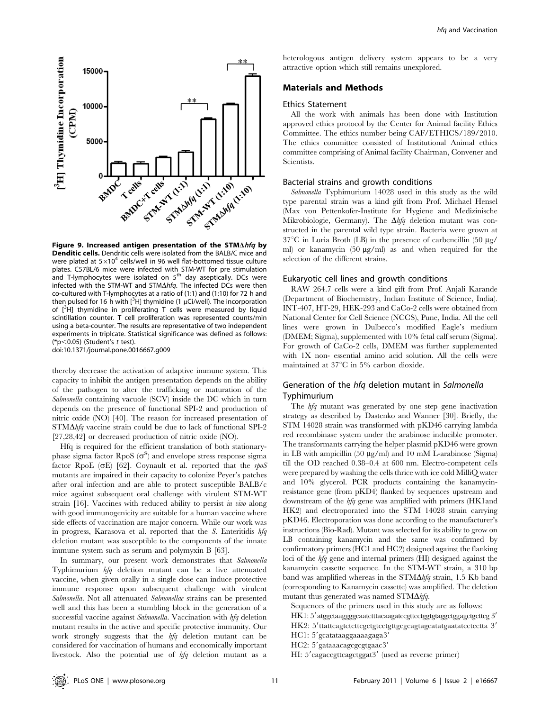

Figure 9. Increased antigen presentation of the STM $\Delta hfa$  by Denditic cells. Dendritic cells were isolated from the BALB/C mice and were plated at  $5\times10^4$  cells/well in 96 well flat-bottomed tissue culture plates. C57BL/6 mice were infected with STM-WT for pre stimulation and T-lymphocytes were isolated on  $5<sup>th</sup>$  day aseptically. DCs were infected with the STM-WT and STM $\Delta h$ fq. The infected DCs were then co-cultured with T-lymphocytes at a ratio of (1:1) and (1:10) for 72 h and then pulsed for 16 h with  $[^{3}H]$  thymidine (1  $\mu$ Ci/well). The incorporation of [<sup>3</sup>H] thymidine in proliferating T cells were measured by liquid scintillation counter. T cell proliferation was represented counts/min using a beta-counter. The results are representative of two independent experiments in triplcate. Statistical significance was defined as follows: (\*p $<$ 0.05) (Student's t test).

doi:10.1371/journal.pone.0016667.g009

thereby decrease the activation of adaptive immune system. This capacity to inhibit the antigen presentation depends on the ability of the pathogen to alter the trafficking or maturation of the Salmonella containing vacuole (SCV) inside the DC which in turn depends on the presence of functional SPI-2 and production of nitric oxide (NO) [40]. The reason for increased presentation of  $STM\Delta h f q$  vaccine strain could be due to lack of functional SPI-2 [27,28,42] or decreased production of nitric oxide (NO).

Hfq is required for the efficient translation of both stationaryphase sigma factor RpoS  $(\sigma^S)$  and envelope stress response sigma factor RpoE ( $\sigma$ E) [62]. Coynault et al. reported that the rpoS mutants are impaired in their capacity to colonize Peyer's patches after oral infection and are able to protect susceptible BALB/c mice against subsequent oral challenge with virulent STM-WT strain [16]. Vaccines with reduced ability to persist *in vivo* along with good immunogenicity are suitable for a human vaccine where side effects of vaccination are major concern. While our work was in progress, Karasova et al. reported that the S. Enteritidis hfq deletion mutant was susceptible to the components of the innate immune system such as serum and polymyxin B [63].

In summary, our present work demonstrates that Salmonella Typhimurium hfq deletion mutant can be a live attenuated vaccine, when given orally in a single dose can induce protective immune response upon subsequent challenge with virulent Salmonella. Not all attenuated Salmonellae strains can be presented well and this has been a stumbling block in the generation of a successful vaccine against Salmonella. Vaccination with hfq deletion mutant results in the active and specific protective immunity. Our work strongly suggests that the hfq deletion mutant can be considered for vaccination of humans and economically important livestock. Also the potential use of hfq deletion mutant as a

heterologous antigen delivery system appears to be a very attractive option which still remains unexplored.

# Materials and Methods

## Ethics Statement

All the work with animals has been done with Institution approved ethics protocol by the Center for Animal facility Ethics Committee. The ethics number being CAF/ETHICS/189/2010. The ethics committee consisted of Institutional Animal ethics committee comprising of Animal facility Chairman, Convener and Scientists.

#### Bacterial strains and growth conditions

Salmonella Typhimurium 14028 used in this study as the wild type parental strain was a kind gift from Prof. Michael Hensel (Max von Pettenkofer-Institute for Hygiene and Medizinische Mikrobiologie, Germany). The  $\Delta h f q$  deletion mutant was constructed in the parental wild type strain. Bacteria were grown at  $37^{\circ}$ C in Luria Broth (LB) in the presence of carbencillin (50  $\mu$ g/ ml) or kanamycin (50 µg/ml) as and when required for the selection of the different strains.

#### Eukaryotic cell lines and growth conditions

RAW 264.7 cells were a kind gift from Prof. Anjali Karande (Department of Biochemistry, Indian Institute of Science, India). INT-407, HT-29, HEK-293 and CaCo-2 cells were obtained from National Center for Cell Science (NCCS), Pune, India. All the cell lines were grown in Dulbecco's modified Eagle's medium (DMEM; Sigma), supplemented with 10% fetal calf serum (Sigma). For growth of CaCo-2 cells, DMEM was further supplemented with 1X non- essential amino acid solution. All the cells were maintained at  $37^{\circ}$ C in 5% carbon dioxide.

## Generation of the hfq deletion mutant in Salmonella Typhimurium

The hfq mutant was generated by one step gene inactivation strategy as described by Dastenko and Wanner [30]. Briefly, the STM 14028 strain was transformed with pKD46 carrying lambda red recombinase system under the arabinose inducible promoter. The transformants carrying the helper plasmid pKD46 were grown in LB with ampicillin  $(50 \mu g/ml)$  and  $10 \mu M$  L-arabinose (Sigma) till the OD reached 0.38–0.4 at 600 nm. Electro-competent cells were prepared by washing the cells thrice with ice cold MilliQ water and 10% glycerol. PCR products containing the kanamycinresistance gene (from pKD4) flanked by sequences upstream and downstream of the *hfq* gene was amplified with primers (HK1and HK2) and electroporated into the STM 14028 strain carrying pKD46. Electroporation was done according to the manufacturer's instructions (Bio-Rad). Mutant was selected for its ability to grow on LB containing kanamycin and the same was confirmed by confirmatory primers (HC1 and HC2) designed against the flanking loci of the hfq gene and internal primers (HI) designed against the kanamycin cassette sequence. In the STM-WT strain, a 310 bp band was amplified whereas in the  $STM\Delta h f q$  strain, 1.5 Kb band (corresponding to Kanamycin cassette) was amplified. The deletion mutant thus generated was named  $STM\Delta h fq$ .

Sequences of the primers used in this study are as follows:

- HK1: 5' atggctaaggggcaatctttacaagatccgttcctggtgtaggctggagctgcttcg 3'
- HK2: 5'ttattcagtctcttcgctgtcctgttgcgcagtagcatatgaatatcctcctta 3'

HC1: 5'gcatataaggaaaagaga3'

HC2: 5'gataaacagcgcgtgaac3'

HI: 5'cagaccgttcagctggat3' (used as reverse primer)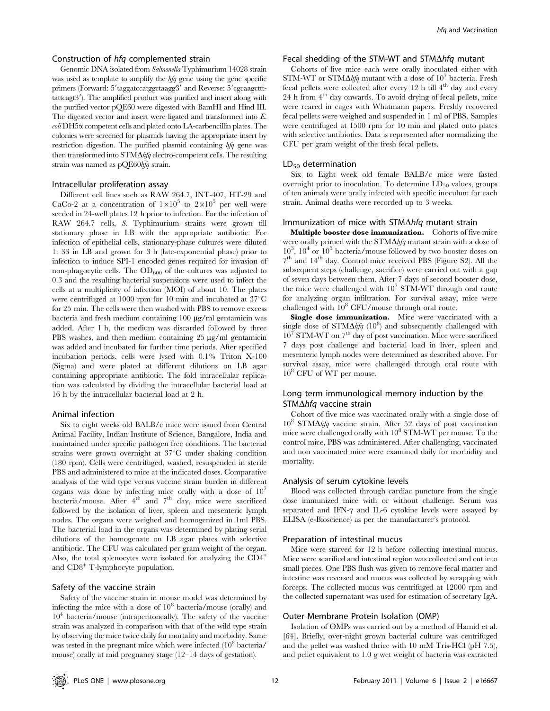## Construction of hfq complemented strain

Genomic DNA isolated from Salmonella Typhimurium 14028 strain was used as template to amplify the hfq gene using the gene specific primers (Forward: 5'taggatccatggctaagg3' and Reverse: 5'cgcaagcttttattcagt3'). The amplified product was purified and insert along with the purified vector pQE60 were digested with BamHI and Hind III. The digested vector and insert were ligated and transformed into E.  $\omega$ *i* DH5 $\alpha$  competent cells and plated onto LA-carbencillin plates. The colonies were screened for plasmids having the appropriate insert by restriction digestion. The purified plasmid containing hfq gene was then transformed into  $STM\Delta\text{hfq}$  electro-competent cells. The resulting strain was named as pQE60hfq strain.

#### Intracellular proliferation assay

Different cell lines such as RAW 264.7, INT-407, HT-29 and CaCo-2 at a concentration of  $1\times10^5$  to  $2\times10^5$  per well were seeded in 24-well plates 12 h prior to infection. For the infection of RAW 264.7 cells, S. Typhimurium strains were grown till stationary phase in LB with the appropriate antibiotic. For infection of epithelial cells, stationary-phase cultures were diluted 1: 33 in LB and grown for 3 h (late-exponential phase) prior to infection to induce SPI-1 encoded genes required for invasion of non-phagocytic cells. The  $OD_{600}$  of the cultures was adjusted to 0.3 and the resulting bacterial suspensions were used to infect the cells at a multiplicity of infection (MOI) of about 10. The plates were centrifuged at 1000 rpm for 10 min and incubated at  $37^{\circ}$ C for 25 min. The cells were then washed with PBS to remove excess bacteria and fresh medium containing  $100 \mu g/ml$  gentamicin was added. After 1 h, the medium was discarded followed by three PBS washes, and then medium containing  $25 \mu g/ml$  gentamicin was added and incubated for further time periods. After specified incubation periods, cells were lysed with 0.1% Triton X-100 (Sigma) and were plated at different dilutions on LB agar containing appropriate antibiotic. The fold intracellular replication was calculated by dividing the intracellular bacterial load at 16 h by the intracellular bacterial load at 2 h.

#### Animal infection

Six to eight weeks old BALB/c mice were issued from Central Animal Facility, Indian Institute of Science, Bangalore, India and maintained under specific pathogen free conditions. The bacterial strains were grown overnight at  $37^{\circ}$ C under shaking condition (180 rpm). Cells were centrifuged, washed, resuspended in sterile PBS and administered to mice at the indicated doses. Comparative analysis of the wild type versus vaccine strain burden in different organs was done by infecting mice orally with a dose of  $10^7$ bacteria/mouse. After 4<sup>th</sup> and 7<sup>th</sup> day, mice were sacrificed followed by the isolation of liver, spleen and mesenteric lymph nodes. The organs were weighed and homogenized in 1ml PBS. The bacterial load in the organs was determined by plating serial dilutions of the homogenate on LB agar plates with selective antibiotic. The CFU was calculated per gram weight of the organ. Also, the total splenocytes were isolated for analyzing the CD4<sup>+</sup> and CD8<sup>+</sup> T-lymphocyte population.

## Safety of the vaccine strain

Safety of the vaccine strain in mouse model was determined by infecting the mice with a dose of  $10^8$  bacteria/mouse (orally) and  $10<sup>4</sup>$  bacteria/mouse (intraperitoneally). The safety of the vaccine strain was analyzed in comparison with that of the wild type strain by observing the mice twice daily for mortality and morbidity. Same was tested in the pregnant mice which were infected  $(10^8 \text{ bacteria}/$ mouse) orally at mid pregnancy stage (12–14 days of gestation).

## Fecal shedding of the STM-WT and STM $\Delta h$ fq mutant

Cohorts of five mice each were orally inoculated either with STM-WT or STM $\Delta h f q$  mutant with a dose of 10<sup>7</sup> bacteria. Fresh fecal pellets were collected after every 12 h till  $4<sup>th</sup>$  day and every  $24$  h from  $4<sup>th</sup>$  day onwards. To avoid drying of fecal pellets, mice were reared in cages with Whatmann papers. Freshly recovered fecal pellets were weighed and suspended in 1 ml of PBS. Samples were centrifuged at 1500 rpm for 10 min and plated onto plates with selective antibiotics. Data is represented after normalizing the CFU per gram weight of the fresh fecal pellets.

#### $LD_{50}$  determination

Six to Eight week old female BALB/c mice were fasted overnight prior to inoculation. To determine  $LD_{50}$  values, groups of ten animals were orally infected with specific inoculum for each strain. Animal deaths were recorded up to 3 weeks.

#### Immunization of mice with STM $\Delta$ hfq mutant strain

Multiple booster dose immunization. Cohorts of five mice were orally primed with the  $STM\Delta hfa$  mutant strain with a dose of  $10^3$ ,  $10^4$  or  $10^5$  bacteria/mouse followed by two booster doses on  $7<sup>th</sup>$  and  $14<sup>th</sup>$  day. Control mice received PBS (Figure S2). All the subsequent steps (challenge, sacrifice) were carried out with a gap of seven days between them. After 7 days of second booster dose, the mice were challenged with  $10^7$  STM-WT through oral route for analyzing organ infiltration. For survival assay, mice were challenged with  $10^8$  CFU/mouse through oral route.

Single dose immunization. Mice were vaccinated with a single dose of STM $\Delta h f q$  (10<sup>8</sup>) and subsequently challenged with  $10^7$  STM-WT on 7<sup>th</sup> day of post vaccination. Mice were sacrificed 7 days post challenge and bacterial load in liver, spleen and mesenteric lymph nodes were determined as described above. For survival assay, mice were challenged through oral route with 10<sup>8</sup> CFU of WT per mouse.

# Long term immunological memory induction by the  $STM\Delta hfg$  vaccine strain

Cohort of five mice was vaccinated orally with a single dose of  $10^8$  STM $\Delta h f q$  vaccine strain. After 52 days of post vaccination mice were challenged orally with  $10^8$  STM-WT per mouse. To the control mice, PBS was administered. After challenging, vaccinated and non vaccinated mice were examined daily for morbidity and mortality.

#### Analysis of serum cytokine levels

Blood was collected through cardiac puncture from the single dose immunized mice with or without challenge. Serum was separated and IFN- $\gamma$  and IL-6 cytokine levels were assayed by ELISA (e-Bioscience) as per the manufacturer's protocol.

#### Preparation of intestinal mucus

Mice were starved for 12 h before collecting intestinal mucus. Mice were scarified and intestinal region was collected and cut into small pieces. One PBS flush was given to remove fecal matter and intestine was reversed and mucus was collected by scrapping with forceps. The collected mucus was centrifuged at 12000 rpm and the collected supernatant was used for estimation of secretary IgA.

## Outer Membrane Protein Isolation (OMP)

Isolation of OMPs was carried out by a method of Hamid et al. [64]. Briefly, over-night grown bacterial culture was centrifuged and the pellet was washed thrice with 10 mM Tris-HCl (pH 7.5), and pellet equivalent to 1.0 g wet weight of bacteria was extracted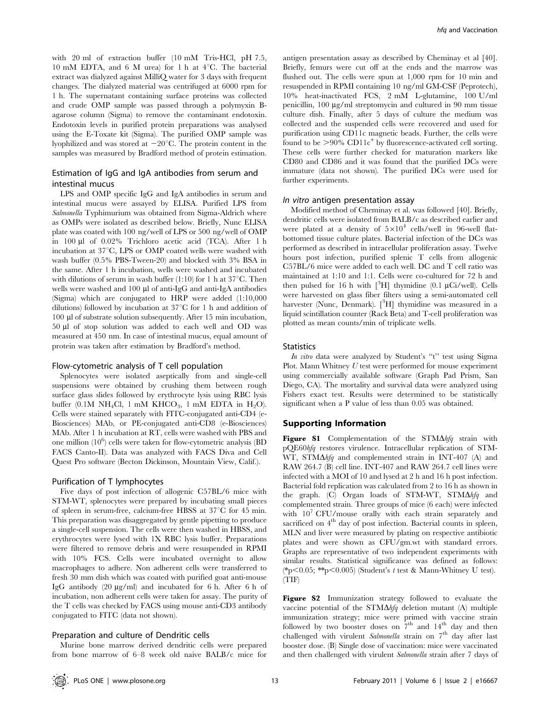with 20 ml of extraction buffer (10 mM Tris-HCl, pH 7.5, 10 mM EDTA, and 6 M urea) for 1 h at  $4^{\circ}$ C. The bacterial extract was dialyzed against MilliQ water for 3 days with frequent changes. The dialyzed material was centrifuged at 6000 rpm for 1 h. The supernatant containing surface proteins was collected and crude OMP sample was passed through a polymyxin Bagarose column (Sigma) to remove the contaminant endotoxin. Endotoxin levels in purified protein preparations was analysed using the E-Toxate kit (Sigma). The purified OMP sample was lyophilized and was stored at  $-20^{\circ}$ C. The protein content in the samples was measured by Bradford method of protein estimation.

# Estimation of IgG and IgA antibodies from serum and intestinal mucus

LPS and OMP specific IgG and IgA antibodies in serum and intestinal mucus were assayed by ELISA. Purified LPS from Salmonella Typhimurium was obtained from Sigma-Aldrich where as OMPs were isolated as described below. Briefly, Nunc ELISA plate was coated with 100 ng/well of LPS or 500 ng/well of OMP in 100 ml of 0.02% Trichloro acetic acid (TCA). After 1 h incubation at  $37^{\circ}$ C, LPS or OMP coated wells were washed with wash buffer (0.5% PBS-Tween-20) and blocked with 3% BSA in the same. After 1 h incubation, wells were washed and incubated with dilutions of serum in wash buffer  $(1:10)$  for 1 h at 37°C. Then wells were washed and 100 µl of anti-IgG and anti-IgA antibodies (Sigma) which are conjugated to HRP were added (1:10,000 dilutions) followed by incubation at  $37^{\circ}$ C for 1 h and addition of 100 ml of substrate solution subsequently. After 15 min incubation, 50 ml of stop solution was added to each well and OD was measured at 450 nm. In case of intestinal mucus, equal amount of protein was taken after estimation by Bradford's method.

#### Flow-cytometric analysis of T cell population

Splenocytes were isolated aseptically from and single-cell suspensions were obtained by crushing them between rough surface glass slides followed by erythrocyte lysis using RBC lysis buffer (0.1M NH<sub>4</sub>Cl, 1 mM KHCO<sub>3</sub>, 1 mM EDTA in H<sub>2</sub>O). Cells were stained separately with FITC-conjugated anti-CD4 (e-Biosciences) MAb, or PE-conjugated anti-CD8 (e-Biosciences) MAb. After 1 h incubation at RT, cells were washed with PBS and one million  $(10^6)$  cells were taken for flow-cytometric analysis (BD FACS Canto-II). Data was analyzed with FACS Diva and Cell Quest Pro software (Becton Dickinson, Mountain View, Calif.).

#### Purification of T lymphocytes

Five days of post infection of allogenic C57BL/6 mice with STM-WT, splenocytes were prepared by incubating small pieces of spleen in serum-free, calcium-free HBSS at  $37^{\circ}$ C for 45 min. This preparation was disaggregated by gentle pipetting to produce a single-cell suspension. The cells were then washed in HBSS, and erythrocytes were lysed with 1X RBC lysis buffer. Preparations were filtered to remove debris and were resuspended in RPMI with 10% FCS. Cells were incubated overnight to allow macrophages to adhere. Non adherent cells were transferred to fresh 30 mm dish which was coated with purified goat anti-mouse IgG antibody  $(20 \mu g/ml)$  and incubated for 6 h. After 6 h of incubation, non adherent cells were taken for assay. The purity of the T cells was checked by FACS using mouse anti-CD3 antibody conjugated to FITC (data not shown).

#### Preparation and culture of Dendritic cells

Murine bone marrow derived dendritic cells were prepared from bone marrow of 6–8 week old naive BALB/c mice for

antigen presentation assay as described by Cheminay et al [40]. Briefly, femurs were cut off at the ends and the marrow was flushed out. The cells were spun at 1,000 rpm for 10 min and resuspended in RPMI containing 10 ng/ml GM-CSF (Peprotech), 10% heat-inactivated FCS, 2 mM L-glutamine, 100 U/ml penicillin,  $100 \mu g/ml$  streptomycin and cultured in 90 mm tissue culture dish. Finally, after 5 days of culture the medium was collected and the suspended cells were recovered and used for purification using CD11c magnetic beads. Further, the cells were found to be  $>90\%$  CD11c<sup>+</sup> by fluorescence-activated cell sorting. These cells were further checked for maturation markers like CD80 and CD86 and it was found that the purified DCs were immature (data not shown). The purified DCs were used for further experiments.

#### In vitro antigen presentation assay

Modified method of Cheminay et al. was followed [40]. Briefly, dendritic cells were isolated from BALB/c as described earlier and were plated at a density of  $5\times10^4$  cells/well in 96-well flatbottomed tissue culture plates. Bacterial infection of the DCs was performed as described in intracellular proliferation assay. Twelve hours post infection, purified splenic T cells from allogenic C57BL/6 mice were added to each well. DC and T cell ratio was maintained at 1:10 and 1:1. Cells were co-cultured for 72 h and then pulsed for 16 h with  $[{}^{3}H]$  thymidine (0.1 µCi/well). Cells were harvested on glass fiber filters using a semi-automated cell harvester (Nunc, Denmark). [<sup>3</sup>H] thymidine was measured in a liquid scintillation counter (Rack Beta) and T-cell proliferation was plotted as mean counts/min of triplicate wells.

## Statistics

In vitro data were analyzed by Student's "t" test using Sigma Plot. Mann Whitney U test were performed for mouse experiment using commercially available software (Graph Pad Prism, San Diego, CA). The mortality and survival data were analyzed using Fishers exact test. Results were determined to be statistically significant when a P value of less than 0.05 was obtained.

#### Supporting Information

Figure S1 Complementation of the  $STM\Delta h f q$  strain with pQE60hfq restores virulence. Intracellular replication of STM-WT, STM $\Delta h f q$  and complemented strain in INT-407 (A) and RAW 264.7 (B) cell line. INT-407 and RAW 264.7 cell lines were infected with a MOI of 10 and lysed at 2 h and 16 h post infection. Bacterial fold replication was calculated from 2 to 16 h as shown in the graph. (C) Organ loads of STM-WT, STM $\Delta h f q$  and complemented strain. Three groups of mice (6 each) were infected with  $10^7$  CFU/mouse orally with each strain separately and sacrificed on  $4<sup>th</sup>$  day of post infection. Bacterial counts in spleen, MLN and liver were measured by plating on respective antibiotic plates and were shown as CFU/gm.wt with standard errors. Graphs are representative of two independent experiments with similar results. Statistical significance was defined as follows: (\*p<0.05; \*\*p<0.005) (Student's t test & Mann-Whitney U test). (TIF)

Figure S2 Immunization strategy followed to evaluate the vaccine potential of the STM $\Delta h f q$  deletion mutant (A) multiple immunization strategy; mice were primed with vaccine strain followed by two booster doses on  $7<sup>th</sup>$  and  $14<sup>th</sup>$  day and then challenged with virulent Salmonella strain on 7<sup>th</sup> day after last booster dose. (B) Single dose of vaccination: mice were vaccinated and then challenged with virulent Salmonella strain after 7 days of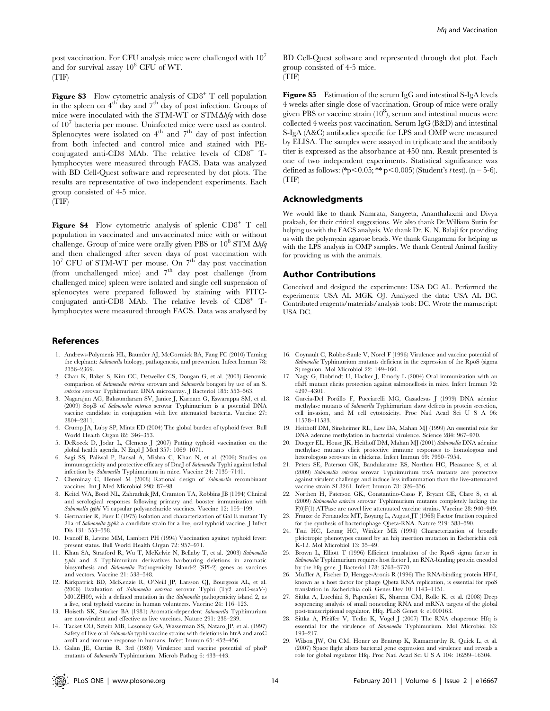post vaccination. For CFU analysis mice were challenged with  $10<sup>7</sup>$ and for survival assay  $10^8$  CFU of WT. (TIF)

**Figure S3** Flow cytometric analysis of  $CD8<sup>+</sup>$  T cell population in the spleen on  $4<sup>th</sup>$  day and  $7<sup>th</sup>$  day of post infection. Groups of mice were inoculated with the STM-WT or STM $\Delta h f q$  with dose of  $10<sup>7</sup>$  bacteria per mouse. Uninfected mice were used as control. Splenocytes were isolated on  $4<sup>th</sup>$  and  $7<sup>th</sup>$  day of post infection from both infected and control mice and stained with PEconjugated anti-CD8 MAb. The relative levels of CD8<sup>+</sup> Tlymphocytes were measured through FACS. Data was analyzed with BD Cell-Quest software and represented by dot plots. The results are representative of two independent experiments. Each group consisted of 4-5 mice.

(TIF)

Figure S4 Flow cytometric analysis of splenic  $CDB^+$  T cell population in vaccinated and unvaccinated mice with or without challenge. Group of mice were orally given PBS or  $10^8$  STM  $\Delta h f q$ and then challenged after seven days of post vaccination with  $10^7$  CFU of STM-WT per mouse. On  $7<sup>th</sup>$  day post vaccination (from unchallenged mice) and  $7<sup>th</sup>$  day post challenge (from challenged mice) spleen were isolated and single cell suspension of splenocytes were prepared followed by staining with FITCconjugated anti-CD8 MAb. The relative levels of CD8<sup>+</sup> Tlymphocytes were measured through FACS. Data was analysed by

#### References

- 1. Andrews-Polymenis HL, Baumler AJ, McCormick BA, Fang FC (2010) Taming the elephant: Salmonella biology, pathogenesis, and prevention. Infect Immun 78: 2356–2369.
- 2. Chan K, Baker S, Kim CC, Detweiler CS, Dougan G, et al. (2003) Genomic comparison of Salmonella enterica serovars and Salmonella bongori by use of an S. enterica serovar Typhimurium DNA microarray. J Bacteriol 185: 553–563.
- 3. Nagarajan AG, Balasundaram SV, Janice J, Karnam G, Eswarappa SM, et al. (2009) SopB of Salmonella enterica serovar Typhimurium is a potential DNA vaccine candidate in conjugation with live attenuated bacteria. Vaccine 27: 2804–2811.
- 4. Crump JA, Luby SP, Mintz ED (2004) The global burden of typhoid fever. Bull World Health Organ 82: 346–353.
- 5. DeRoeck D, Jodar L, Clemens J (2007) Putting typhoid vaccination on the global health agenda. N Engl J Med 357: 1069–1071.
- 6. Sagi SS, Paliwal P, Bansal A, Mishra C, Khan N, et al. (2006) Studies on immunogenicity and protective efficacy of DnaJ of Salmonella Typhi against lethal infection by Salmonella Typhimurium in mice. Vaccine 24: 7135–7141.
- 7. Cheminay C, Hensel M (2008) Rational design of Salmonella recombinant vaccines. Int J Med Microbiol 298: 87–98.
- 8. Keitel WA, Bond NL, Zahradnik JM, Cramton TA, Robbins JB (1994) Clinical and serological responses following primary and booster immunization with Salmonella typhi Vi capsular polysaccharide vaccines. Vaccine 12: 195–199.
- 9. Germanier R, Fuer E (1975) Isolation and characterization of Gal E mutant Ty 21a of Salmonella typhi: a candidate strain for a live, oral typhoid vaccine. J Infect Dis 131: 553-558.
- 10. Ivanoff B, Levine MM, Lambert PH (1994) Vaccination against typhoid fever: present status. Bull World Health Organ 72: 957–971.
- 11. Khan SA, Stratford R, Wu T, McKelvie N, Bellaby T, et al. (2003) Salmonella typhi and S Typhimurium derivatives harbouring deletions in aromatic biosynthesis and Salmonella Pathogenicity Island-2 (SPI-2) genes as vaccines and vectors. Vaccine 21: 538–548.
- 12. Kirkpatrick BD, McKenzie R, O'Neill JP, Larsson CJ, Bourgeois AL, et al. (2006) Evaluation of Salmonella enterica serovar Typhi (Ty2 aroC-ssaV-) M01ZH09, with a defined mutation in the Salmonella pathogenicity island 2, as a live, oral typhoid vaccine in human volunteers. Vaccine 24: 116–123.
- 13. Hoiseth SK, Stocker BA (1981) Aromatic-dependent Salmonella Typhimurium are non-virulent and effective as live vaccines. Nature 291: 238–239.
- 14. Tacket CO, Sztein MB, Losonsky GA, Wasserman SS, Nataro JP, et al. (1997) Safety of live oral Salmonella typhi vaccine strains with deletions in htrA and aroC aroD and immune response in humans. Infect Immun 65: 452–456.
- 15. Galan JE, Curtiss R, 3rd (1989) Virulence and vaccine potential of phoP mutants of Salmonella Typhimurium. Microb Pathog 6: 433–443.

BD Cell-Quest software and represented through dot plot. Each group consisted of 4-5 mice.

(TIF)

Figure S5 Estimation of the serum IgG and intestinal S-IgA levels 4 weeks after single dose of vaccination. Group of mice were orally given PBS or vaccine strain  $(10^8)$ , serum and intestinal mucus were collected 4 weeks post vaccination. Serum IgG (B&D) and intestinal S-IgA (A&C) antibodies specific for LPS and OMP were measured by ELISA. The samples were assayed in triplicate and the antibody titer is expressed as the absorbance at 450 nm. Result presented is one of two independent experiments. Statistical significance was defined as follows: (\*p<0.05; \*\* p<0.005) (Student's t test). (n = 5-6). (TIF)

## Acknowledgments

We would like to thank Namrata, Sangeeta, Ananthalaxmi and Divya prakash, for their critical suggestions. We also thank Dr.William Surin for helping us with the FACS analysis. We thank Dr. K. N. Balaji for providing us with the polymyxin agarose beads. We thank Gangamma for helping us with the LPS analysis in OMP samples. We thank Central Animal facility for providing us with the animals.

## Author Contributions

Conceived and designed the experiments: USA DC AL. Performed the experiments: USA AL MGK OJ. Analyzed the data: USA AL DC. Contributed reagents/materials/analysis tools: DC. Wrote the manuscript: USA DC.

- 16. Coynault C, Robbe-Saule V, Norel F (1996) Virulence and vaccine potential of Salmonella Typhimurium mutants deficient in the expression of the RpoS (sigma S) regulon. Mol Microbiol 22: 149–160.
- 17. Nagy G, Dobrindt U, Hacker J, Emody L (2004) Oral immunization with an rfaH mutant elicits protection against salmonellosis in mice. Infect Immun 72: 4297–4301.
- 18. Garcia-Del Portillo F, Pucciarelli MG, Casadesus J (1999) DNA adenine methylase mutants of Salmonella Typhimurium show defects in protein secretion, cell invasion, and M cell cytotoxicity. Proc Natl Acad Sci U S A 96: 11578–11583.
- 19. Heithoff DM, Sinsheimer RL, Low DA, Mahan MJ (1999) An essential role for DNA adenine methylation in bacterial virulence. Science 284: 967–970.
- 20. Dueger EL, House JK, Heithoff DM, Mahan MJ (2001) Salmonella DNA adenine methylase mutants elicit protective immune responses to homologous and heterologous serovars in chickens. Infect Immun 69: 7950–7954.
- 21. Peters SE, Paterson GK, Bandularatne ES, Northen HC, Pleasance S, et al. (2009) Salmonella enterica serovar Typhimurium trxA mutants are protective against virulent challenge and induce less inflammation than the live-attenuated vaccine strain SL3261. Infect Immun 78: 326–336.
- 22. Northen H, Paterson GK, Constantino-Casas F, Bryant CE, Clare S, et al. (2009) Salmonella enterica serovar Typhimurium mutants completely lacking the F(0)F(1) ATPase are novel live attenuated vaccine strains. Vaccine 28: 940–949.
- 23. Franze de Fernandez MT, Eoyang L, August JT (1968) Factor fraction required for the synthesis of bacteriophage Qbeta-RNA. Nature 219: 588–590.
- 24. Tsui HC, Leung HC, Winkler ME (1994) Characterization of broadly pleiotropic phenotypes caused by an hfq insertion mutation in Escherichia coli K-12. Mol Microbiol 13: 35–49.
- 25. Brown L, Elliott T (1996) Efficient translation of the RpoS sigma factor in Salmonella Typhimurium requires host factor I, an RNA-binding protein encoded by the hfq gene. J Bacteriol 178: 3763–3770.
- 26. Muffler A, Fischer D, Hengge-Aronis R (1996) The RNA-binding protein HF-I, known as a host factor for phage Qbeta RNA replication, is essential for rpoS translation in Escherichia coli. Genes Dev 10: 1143–1151.
- 27. Sittka A, Lucchini S, Papenfort K, Sharma CM, Rolle K, et al. (2008) Deep sequencing analysis of small noncoding RNA and mRNA targets of the global post-transcriptional regulator, Hfq. PLoS Genet 4: e1000163.
- 28. Sittka A, Pfeiffer V, Tedin K, Vogel J (2007) The RNA chaperone Hfq is essential for the virulence of Salmonella Typhimurium. Mol Microbiol 63: 193–217.
- 29. Wilson JW, Ott CM, Honer zu Bentrup K, Ramamurthy R, Quick L, et al. (2007) Space flight alters bacterial gene expression and virulence and reveals a role for global regulator Hfq. Proc Natl Acad Sci U S A 104: 16299–16304.